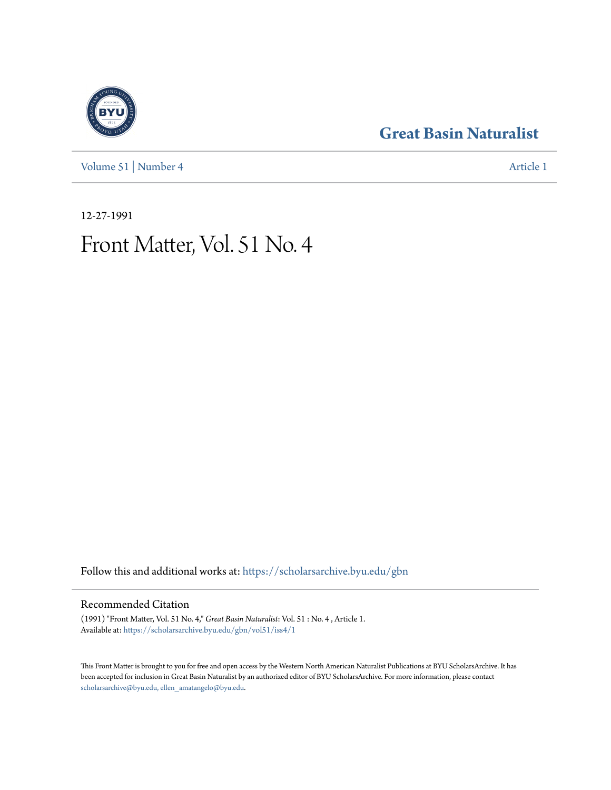[Volume 51](https://scholarsarchive.byu.edu/gbn/vol51?utm_source=scholarsarchive.byu.edu%2Fgbn%2Fvol51%2Fiss4%2F1&utm_medium=PDF&utm_campaign=PDFCoverPages) | [Number 4](https://scholarsarchive.byu.edu/gbn/vol51/iss4?utm_source=scholarsarchive.byu.edu%2Fgbn%2Fvol51%2Fiss4%2F1&utm_medium=PDF&utm_campaign=PDFCoverPages) [Article 1](https://scholarsarchive.byu.edu/gbn/vol51/iss4/1?utm_source=scholarsarchive.byu.edu%2Fgbn%2Fvol51%2Fiss4%2F1&utm_medium=PDF&utm_campaign=PDFCoverPages)

### **[Great Basin Naturalist](https://scholarsarchive.byu.edu/gbn?utm_source=scholarsarchive.byu.edu%2Fgbn%2Fvol51%2Fiss4%2F1&utm_medium=PDF&utm_campaign=PDFCoverPages)**

12-27-1991

## Front Matter, Vol. 51 No. 4

Follow this and additional works at: [https://scholarsarchive.byu.edu/gbn](https://scholarsarchive.byu.edu/gbn?utm_source=scholarsarchive.byu.edu%2Fgbn%2Fvol51%2Fiss4%2F1&utm_medium=PDF&utm_campaign=PDFCoverPages)

### Recommended Citation

(1991) "Front Matter, Vol. 51 No. 4," *Great Basin Naturalist*: Vol. 51 : No. 4 , Article 1. Available at: [https://scholarsarchive.byu.edu/gbn/vol51/iss4/1](https://scholarsarchive.byu.edu/gbn/vol51/iss4/1?utm_source=scholarsarchive.byu.edu%2Fgbn%2Fvol51%2Fiss4%2F1&utm_medium=PDF&utm_campaign=PDFCoverPages)

This Front Matter is brought to you for free and open access by the Western North American Naturalist Publications at BYU ScholarsArchive. It has been accepted for inclusion in Great Basin Naturalist by an authorized editor of BYU ScholarsArchive. For more information, please contact [scholarsarchive@byu.edu, ellen\\_amatangelo@byu.edu.](mailto:scholarsarchive@byu.edu,%20ellen_amatangelo@byu.edu)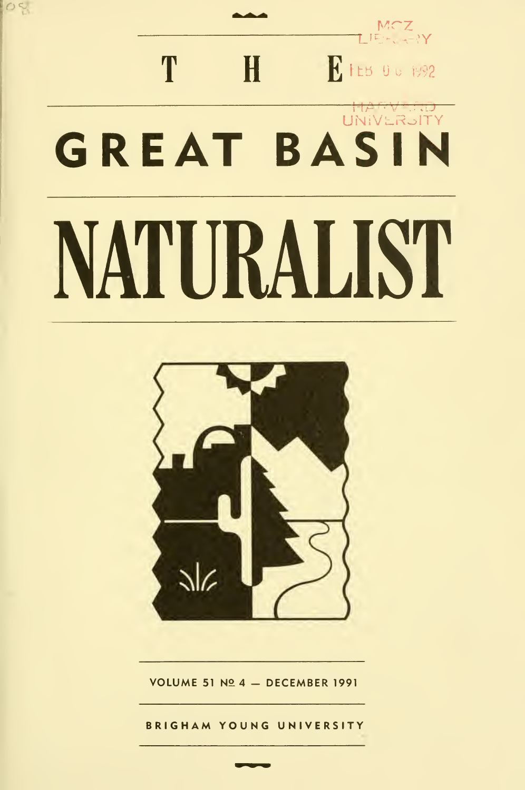# MCZ<br>LIE: <sub>ST</sub>Y T  $H$ **R** FEB 00 1992 UNIVERSITY<br>UNIVERSITY **GREAT BASIN** NATURALIST

los.



VOLUME 51 Nº 4 - DECEMBER 1991

**BRIGHAM YOUNG UNIVERSITY**